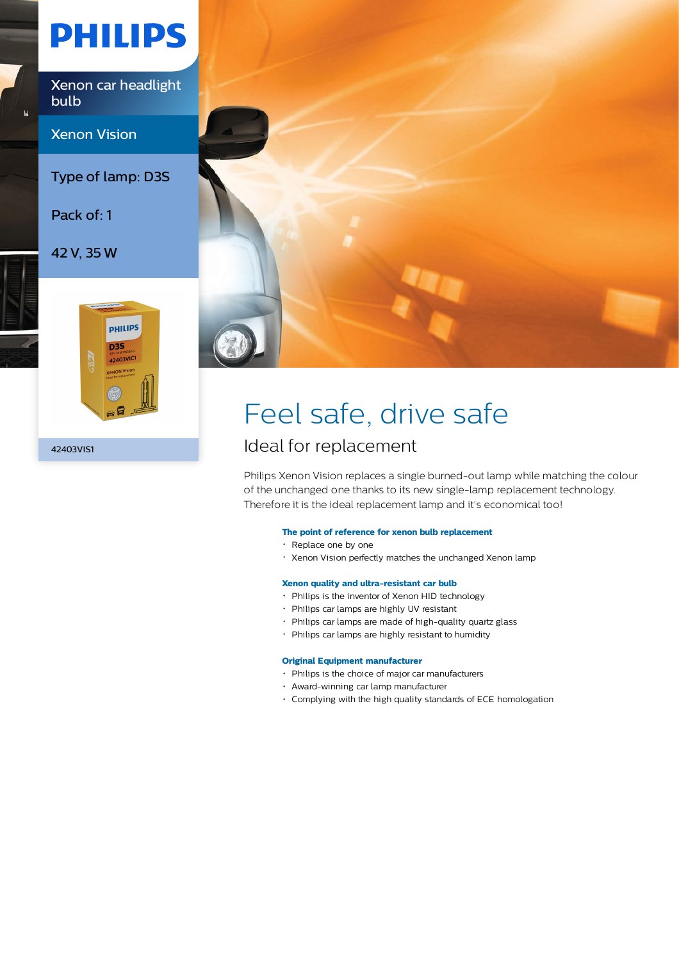# **PHILIPS**

Xenon car headlight bulb

Xenon Vision

Type of lamp: D3S

Pack of: 1

42 V, 35 W



42403VIS1



# Feel safe, drive safe

### Ideal for replacement

Philips Xenon Vision replaces a single burned-out lamp while matching the colour of the unchanged one thanks to its new single-lamp replacement technology. Therefore it is the ideal replacement lamp and it's economical too!

#### **The point of reference for xenon bulb replacement**

- Replace one by one
- Xenon Vision perfectly matches the unchanged Xenon lamp

#### **Xenon quality and ultra-resistant car bulb**

- Philips is the inventor of Xenon HID technology
- Philips car lamps are highly UV resistant
- Philips car lamps are made of high-quality quartz glass
- Philips car lamps are highly resistant to humidity

#### **Original Equipment manufacturer**

- Philips is the choice of major car manufacturers
- Award-winning car lamp manufacturer
- Complying with the high quality standards of ECE homologation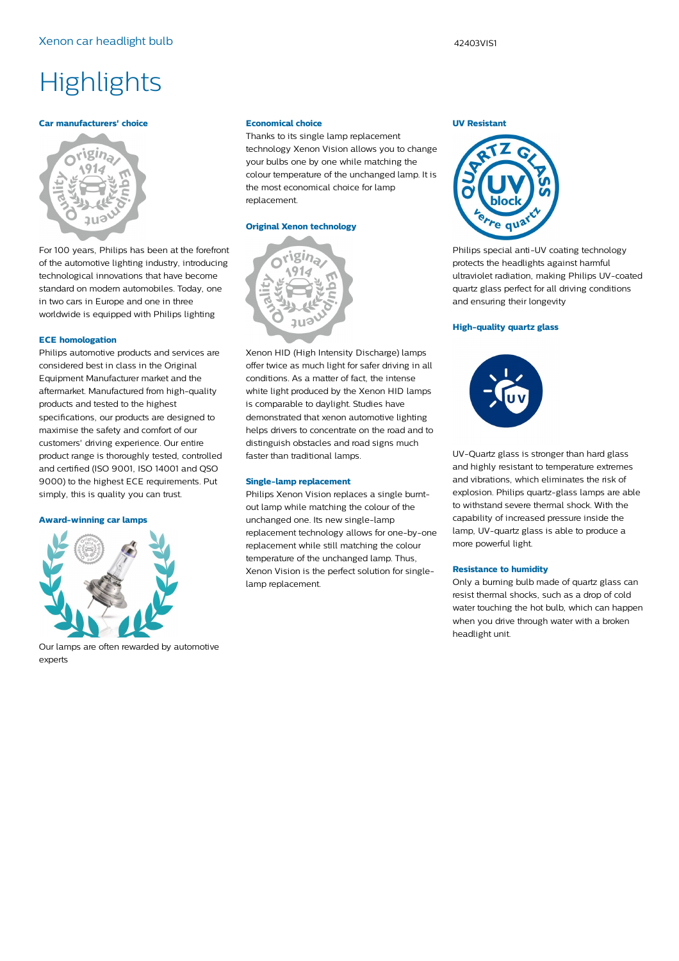## **Highlights**

#### **Car manufacturers' choice**



For 100 years, Philips has been at the forefront of the automotive lighting industry, introducing technological innovations that have become standard on modern automobiles. Today, one in two cars in Europe and one in three worldwide is equipped with Philips lighting

#### **ECE homologation**

Philips automotive products and services are considered best in class in the Original Equipment Manufacturer market and the aftermarket. Manufactured from high-quality products and tested to the highest specifications, our products are designed to maximise the safety and comfort of our customers' driving experience. Our entire product range is thoroughly tested, controlled and certified (ISO 9001, ISO 14001 and QSO 9000) to the highest ECE requirements. Put simply, this is quality you can trust.

#### **Award-winning car lamps**



Our lamps are often rewarded by automotive experts

#### **Economical choice**

Thanks to its single lamp replacement technology Xenon Vision allows you to change your bulbs one by one while matching the colour temperature of the unchanged lamp. It is the most economical choice for lamp replacement.

#### **Original Xenon technology**



Xenon HID (High Intensity Discharge) lamps offer twice as much light for safer driving in all conditions. As a matter of fact, the intense white light produced by the Xenon HID lamps is comparable to daylight. Studies have demonstrated that xenon automotive lighting helps drivers to concentrate on the road and to distinguish obstacles and road signs much faster than traditional lamps.

#### **Single-lamp replacement**

Philips Xenon Vision replaces a single burntout lamp while matching the colour of the unchanged one. Its new single-lamp replacement technology allows for one-by-one replacement while still matching the colour temperature of the unchanged lamp. Thus, Xenon Vision is the perfect solution for singlelamp replacement.

#### **UV Resistant**



Philips special anti-UV coating technology protects the headlights against harmful ultraviolet radiation, making Philips UV-coated quartz glass perfect for all driving conditions and ensuring their longevity

#### **High-quality quartz glass**



UV-Quartz glass is stronger than hard glass and highly resistant to temperature extremes and vibrations, which eliminates the risk of explosion. Philips quartz-glass lamps are able to withstand severe thermal shock. With the capability of increased pressure inside the lamp, UV-quartz glass is able to produce a more powerful light.

#### **Resistance to humidity**

Only a burning bulb made of quartz glass can resist thermal shocks, such as a drop of cold water touching the hot bulb, which can happen when you drive through water with a broken headlight unit.